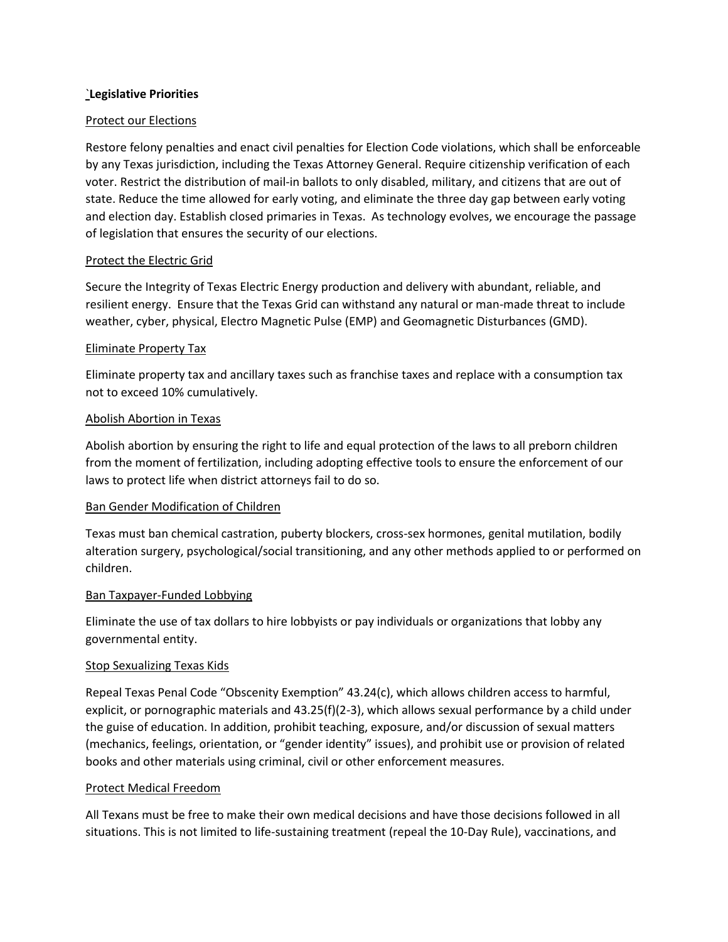### `**Legislative Priorities**

## Protect our Elections

Restore felony penalties and enact civil penalties for Election Code violations, which shall be enforceable by any Texas jurisdiction, including the Texas Attorney General. Require citizenship verification of each voter. Restrict the distribution of mail-in ballots to only disabled, military, and citizens that are out of state. Reduce the time allowed for early voting, and eliminate the three day gap between early voting and election day. Establish closed primaries in Texas. As technology evolves, we encourage the passage of legislation that ensures the security of our elections.

#### Protect the Electric Grid

Secure the Integrity of Texas Electric Energy production and delivery with abundant, reliable, and resilient energy. Ensure that the Texas Grid can withstand any natural or man-made threat to include weather, cyber, physical, Electro Magnetic Pulse (EMP) and Geomagnetic Disturbances (GMD).

## Eliminate Property Tax

Eliminate property tax and ancillary taxes such as franchise taxes and replace with a consumption tax not to exceed 10% cumulatively.

#### Abolish Abortion in Texas

Abolish abortion by ensuring the right to life and equal protection of the laws to all preborn children from the moment of fertilization, including adopting effective tools to ensure the enforcement of our laws to protect life when district attorneys fail to do so.

# Ban Gender Modification of Children

Texas must ban chemical castration, puberty blockers, cross-sex hormones, genital mutilation, bodily alteration surgery, psychological/social transitioning, and any other methods applied to or performed on children.

#### Ban Taxpayer-Funded Lobbying

Eliminate the use of tax dollars to hire lobbyists or pay individuals or organizations that lobby any governmental entity.

#### **Stop Sexualizing Texas Kids**

Repeal Texas Penal Code "Obscenity Exemption" 43.24(c), which allows children access to harmful, explicit, or pornographic materials and 43.25(f)(2-3), which allows sexual performance by a child under the guise of education. In addition, prohibit teaching, exposure, and/or discussion of sexual matters (mechanics, feelings, orientation, or "gender identity" issues), and prohibit use or provision of related books and other materials using criminal, civil or other enforcement measures.

#### Protect Medical Freedom

All Texans must be free to make their own medical decisions and have those decisions followed in all situations. This is not limited to life-sustaining treatment (repeal the 10-Day Rule), vaccinations, and